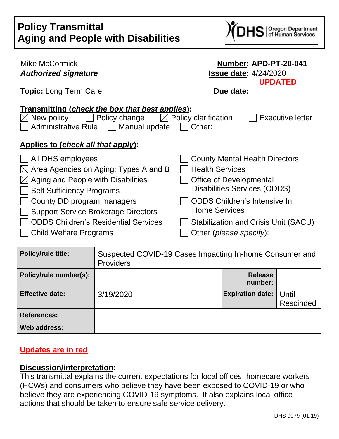

| Mike McCormick                                   | Number: APD-PT-20-041                           |
|--------------------------------------------------|-------------------------------------------------|
| <b>Authorized signature</b>                      | <b>Issue date: 4/24/2020</b>                    |
| <b>Topic:</b> Long Term Care                     | <b>UPDATED</b><br>Due date:                     |
| Transmitting (check the box that best applies):  |                                                 |
| Policy change<br>New policy                      | Policy clarification<br><b>Executive letter</b> |
| <b>Administrative Rule</b><br>Manual update      | Other:                                          |
| <u>Applies to (check all that apply):</u>        |                                                 |
| All DHS employees                                | <b>County Mental Health Directors</b>           |
| $[\times]$ Area Agencies on Aging: Types A and B | <b>Health Services</b>                          |
| $\boxtimes$ Aging and People with Disabilities   | Office of Developmental                         |
| <b>Self Sufficiency Programs</b>                 | <b>Disabilities Services (ODDS)</b>             |
| County DD program managers                       | <b>ODDS Children's Intensive In</b>             |
| <b>Support Service Brokerage Directors</b>       | <b>Home Services</b>                            |
| <b>ODDS Children's Residential Services</b>      | Stabilization and Crisis Unit (SACU)            |
| <b>Child Welfare Programs</b>                    | Other ( <i>please specify</i> ):                |

| <b>Policy/rule title:</b> | Suspected COVID-19 Cases Impacting In-home Consumer and<br><b>Providers</b> |                           |                    |
|---------------------------|-----------------------------------------------------------------------------|---------------------------|--------------------|
| Policy/rule number(s):    |                                                                             | <b>Release</b><br>number: |                    |
| <b>Effective date:</b>    | 3/19/2020                                                                   | <b>Expiration date:</b>   | Until<br>Rescinded |
| <b>References:</b>        |                                                                             |                           |                    |
| Web address:              |                                                                             |                           |                    |

#### **Updates are in red**

#### **Discussion/interpretation:**

This transmittal explains the current expectations for local offices, homecare workers (HCWs) and consumers who believe they have been exposed to COVID-19 or who believe they are experiencing COVID-19 symptoms. It also explains local office actions that should be taken to ensure safe service delivery.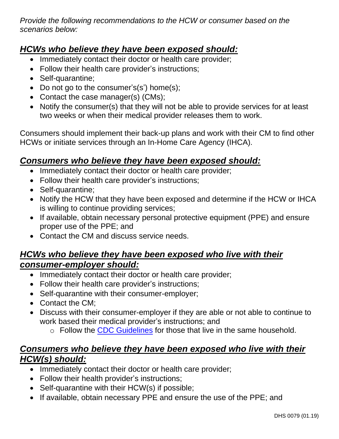*Provide the following recommendations to the HCW or consumer based on the scenarios below:*

# *HCWs who believe they have been exposed should:*

- Immediately contact their doctor or health care provider;
- Follow their health care provider's instructions;
- Self-quarantine;
- Do not go to the consumer's(s') home(s);
- Contact the case manager(s) (CMs);
- Notify the consumer(s) that they will not be able to provide services for at least two weeks or when their medical provider releases them to work.

Consumers should implement their back-up plans and work with their CM to find other HCWs or initiate services through an In-Home Care Agency (IHCA).

## *Consumers who believe they have been exposed should:*

- Immediately contact their doctor or health care provider;
- Follow their health care provider's instructions;
- Self-quarantine;
- Notify the HCW that they have been exposed and determine if the HCW or IHCA is willing to continue providing services;
- If available, obtain necessary personal protective equipment (PPE) and ensure proper use of the PPE; and
- Contact the CM and discuss service needs.

## *HCWs who believe they have been exposed who live with their consumer-employer should:*

- Immediately contact their doctor or health care provider;
- Follow their health care provider's instructions;
- Self-quarantine with their consumer-employer;
- Contact the CM:
- Discuss with their consumer-employer if they are able or not able to continue to work based their medical provider's instructions; and
	- o Follow the [CDC Guidelines](https://www.cdc.gov/coronavirus/2019-ncov/hcp/guidance-prevent-spread.html#precautions) for those that live in the same household.

## *Consumers who believe they have been exposed who live with their HCW(s) should:*

- Immediately contact their doctor or health care provider;
- Follow their health provider's instructions;
- Self-quarantine with their HCW(s) if possible;
- If available, obtain necessary PPE and ensure the use of the PPE; and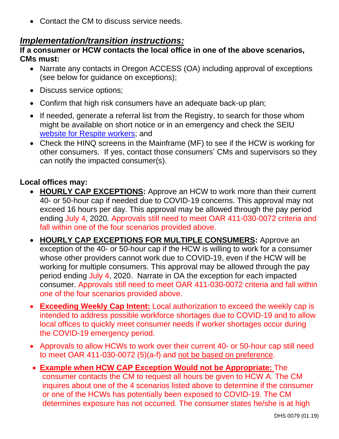• Contact the CM to discuss service needs.

## *Implementation/transition instructions:*

#### **If a consumer or HCW contacts the local office in one of the above scenarios, CMs must:**

- Narrate any contacts in Oregon ACCESS (OA) including approval of exceptions (see below for guidance on exceptions);
- Discuss service options;
- Confirm that high risk consumers have an adequate back-up plan;
- If needed, generate a referral list from the Registry, to search for those whom might be available on short notice or in an emergency and check the SEIU [website for Respite workers;](https://seiu503.org/member_news/covid-19-resources-for-homecare-and-personal-support-workers/) and
- Check the HINQ screens in the Mainframe (MF) to see if the HCW is working for other consumers. If yes, contact those consumers' CMs and supervisors so they can notify the impacted consumer(s).

### **Local offices may:**

- **HOURLY CAP EXCEPTIONS:** Approve an HCW to work more than their current 40- or 50-hour cap if needed due to COVID-19 concerns. This approval may not exceed 16 hours per day. This approval may be allowed through the pay period ending July 4, 2020. Approvals still need to meet OAR 411-030-0072 criteria and fall within one of the four scenarios provided above.
- **HOURLY CAP EXCEPTIONS FOR MULTIPLE CONSUMERS:** Approve an exception of the 40- or 50-hour cap if the HCW is willing to work for a consumer whose other providers cannot work due to COVID-19, even if the HCW will be working for multiple consumers. This approval may be allowed through the pay period ending July 4, 2020. Narrate in OA the exception for each impacted consumer. Approvals still need to meet OAR 411-030-0072 criteria and fall within one of the four scenarios provided above.
- **Exceeding Weekly Cap Intent:** Local authorization to exceed the weekly cap is intended to address possible workforce shortages due to COVID-19 and to allow local offices to quickly meet consumer needs if worker shortages occur during the COVID-19 emergency period.
- Approvals to allow HCWs to work over their current 40- or 50-hour cap still need to meet OAR 411-030-0072 (5)(a-f) and not be based on preference.
- **Example when HCW CAP Exception Would not be Appropriate:** The consumer contacts the CM to request all hours be given to HCW A. The CM inquires about one of the 4 scenarios listed above to determine if the consumer or one of the HCWs has potentially been exposed to COVID-19. The CM determines exposure has not occurred. The consumer states he/she is at high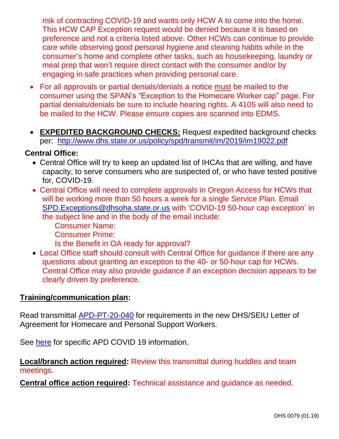risk of contracting COVID-19 and wants only HCW A to come into the home. This HCW CAP Exception request would be denied because it is based on preference and not a criteria listed above. Other HCWs can continue to provide care while observing good personal hygiene and cleaning habits while in the consumer's home and complete other tasks, such as housekeeping, laundry or meal prep that won't require direct contact with the consumer and/or by engaging in safe practices when providing personal care.

- For all approvals or partial denials/denials a notice must be mailed to the consumer using the SPAN's "Exception to the Homecare Worker cap" page. For partial denials/denials be sure to include hearing rights. A 4105 will also need to be mailed to the HCW. Please ensure copies are scanned into EDMS.
- **EXPEDITED BACKGROUND CHECKS:** Request expedited background checks per: <http://www.dhs.state.or.us/policy/spd/transmit/im/2019/im19022.pdf>

### **Central Office:**

- Central Office will try to keep an updated list of IHCAs that are willing, and have capacity, to serve consumers who are suspected of, or who have tested positive for, COVID-19.
- Central Office will need to complete approvals in Oregon Access for HCWs that will be working more than 50 hours a week for a single Service Plan. Email [SPD.Exceptions@dhsoha.state.or.us](mailto:SPD.Exceptions@dhsoha.state.or.us) with 'COVID-19 50-hour cap exception' in the subject line and in the body of the email include:
	- Consumer Name:
	- Consumer Prime:
	- Is the Benefit in OA ready for approval?
- Local Office staff should consult with Central Office for guidance if there are any questions about granting an exception to the 40- or 50-hour cap for HCWs. Central Office may also provide guidance if an exception decision appears to be clearly driven by preference.

#### **Training/communication plan:**

Read transmittal [APD-PT-20-040](http://www.dhs.state.or.us/policy/spd/transmit/pt/2020/pt20040.pdf) for requirements in the new DHS/SEIU Letter of Agreement for Homecare and Personal Support Workers.

See [here](http://www.dhs.state.or.us/spd/tools/COVID-19/COVID-19%20Index.htm) for specific APD COVID 19 information.

**Local/branch action required:** Review this transmittal during huddles and team meetings.

**Central office action required:** Technical assistance and guidance as needed.